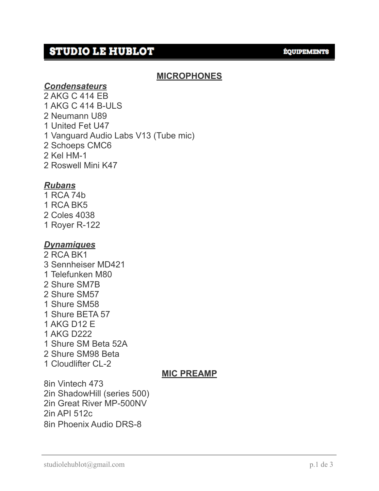# **STUDIO LE HUBLOT**

#### **ÉQUIPEMENTS**

### **MICROPHONES**

#### *Condensateurs*

2 AKG C 414 EB 1 AKG C 414 B-ULS 2 Neumann U89 1 United Fet U47 1 Vanguard Audio Labs V13 (Tube mic) 2 Schoeps CMC6 2 Kel HM-1 2 Roswell Mini K47

#### *Rubans*

- 1 RCA 74b
- 1 RCA BK5
- 2 Coles 4038
- 1 Royer R-122

### *Dynamiques*

2 RCA BK1 3 Sennheiser MD421 1 Telefunken M80 2 Shure SM7B 2 Shure SM57 1 Shure SM58 1 Shure BETA 57 1 AKG D12 E 1 AKG D222 1 Shure SM Beta 52A 2 Shure SM98 Beta 1 Cloudlifter CL-2

### **MIC PREAMP**

8in Vintech 473 2in ShadowHill (series 500) 2in Great River MP-500NV 2in API 512c 8in Phoenix Audio DRS-8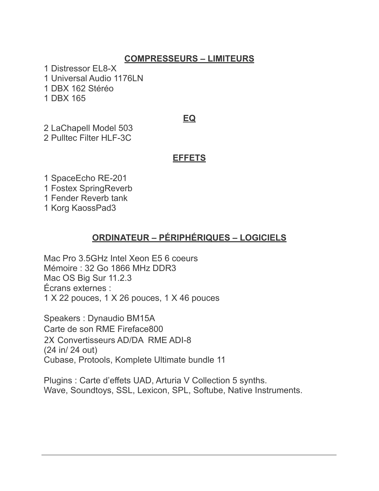## **COMPRESSEURS – LIMITEURS**

1 Distressor EL8-X 1 Universal Audio 1176LN 1 DBX 162 Stéréo 1 DBX 165

#### **EQ**

2 LaChapell Model 503 2 Pulltec Filter HLF-3C

#### **EFFETS**

1 SpaceEcho RE-201

1 Fostex SpringReverb

1 Fender Reverb tank

1 Korg KaossPad3

### **ORDINATEUR – PÉRIPHÉRIQUES – LOGICIELS**

Mac Pro 3.5GHz Intel Xeon E5 6 coeurs Mémoire : 32 Go 1866 MHz DDR3 Mac OS Big Sur 11.2.3 Écrans externes : 1 X 22 pouces, 1 X 26 pouces, 1 X 46 pouces

Speakers : Dynaudio BM15A Carte de son RME Fireface800 2X Convertisseurs AD/DA RME ADI-8 (24 in/ 24 out) Cubase, Protools, Komplete Ultimate bundle 11

Plugins : Carte d'effets UAD, Arturia V Collection 5 synths. Wave, Soundtoys, SSL, Lexicon, SPL, Softube, Native Instruments.